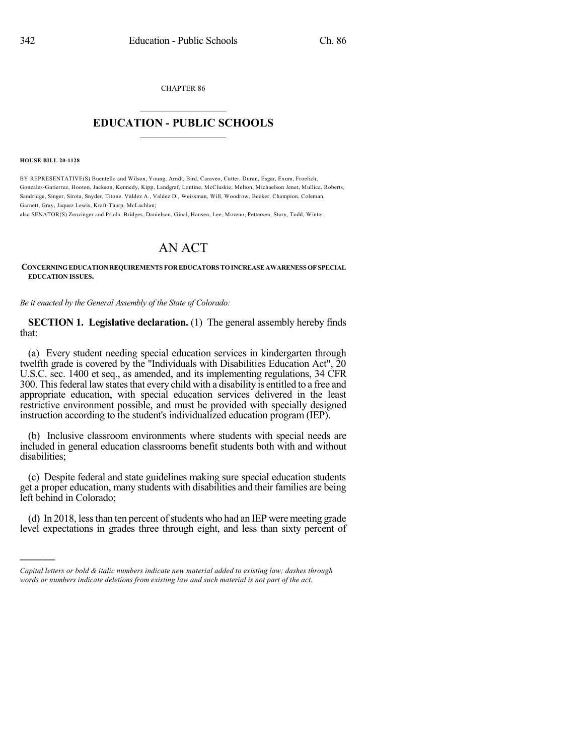CHAPTER 86  $\mathcal{L}_\text{max}$  . The set of the set of the set of the set of the set of the set of the set of the set of the set of the set of the set of the set of the set of the set of the set of the set of the set of the set of the set

## **EDUCATION - PUBLIC SCHOOLS**  $\_$   $\_$   $\_$   $\_$   $\_$   $\_$   $\_$   $\_$   $\_$

**HOUSE BILL 20-1128**

)))))

BY REPRESENTATIVE(S) Buentello and Wilson, Young, Arndt, Bird, Caraveo, Cutter, Duran, Esgar, Exum, Froelich, Gonzales-Gutierrez, Hooton, Jackson, Kennedy, Kipp, Landgraf, Lontine, McCluskie, Melton, Michaelson Jenet, Mullica, Roberts, Sandridge, Singer, Sirota, Snyder, Titone, Valdez A., Valdez D., Weissman, Will, Woodrow, Becker, Champion, Coleman, Garnett, Gray, Jaquez Lewis, Kraft-Tharp, McLachlan;

also SENATOR(S) Zenzinger and Priola, Bridges, Danielson, Ginal, Hansen, Lee, Moreno, Pettersen, Story, Todd, Winter.

## AN ACT

**CONCERNINGEDUCATIONREQUIREMENTS FOREDUCATORS TOINCREASEAWARENESS OF SPECIAL EDUCATION ISSUES.**

*Be it enacted by the General Assembly of the State of Colorado:*

**SECTION 1. Legislative declaration.** (1) The general assembly hereby finds that:

(a) Every student needing special education services in kindergarten through twelfth grade is covered by the "Individuals with Disabilities Education Act", 20 U.S.C. sec. 1400 et seq., as amended, and its implementing regulations, 34 CFR 300. This federal law states that every child with a disability is entitled to a free and appropriate education, with special education services delivered in the least restrictive environment possible, and must be provided with specially designed instruction according to the student's individualized education program (IEP).

(b) Inclusive classroom environments where students with special needs are included in general education classrooms benefit students both with and without disabilities;

(c) Despite federal and state guidelines making sure special education students get a proper education, many students with disabilities and their families are being left behind in Colorado;

(d) In 2018, less than ten percent of students who had an IEP were meeting grade level expectations in grades three through eight, and less than sixty percent of

*Capital letters or bold & italic numbers indicate new material added to existing law; dashes through words or numbers indicate deletions from existing law and such material is not part of the act.*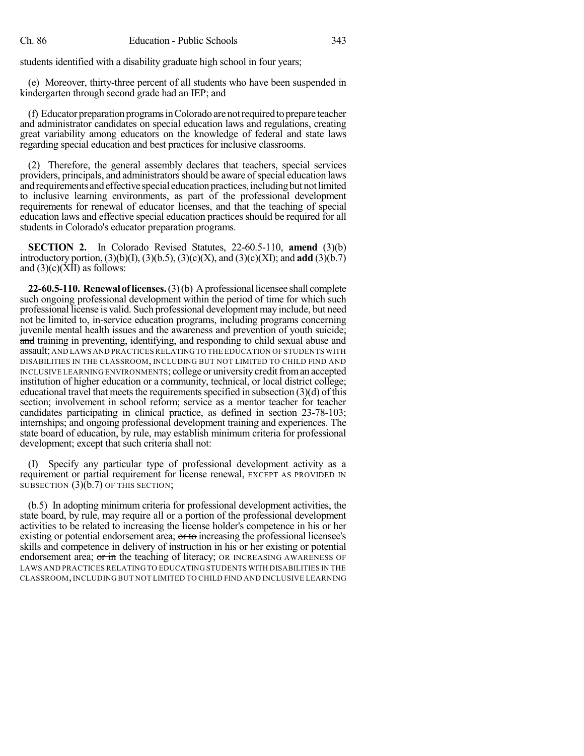students identified with a disability graduate high school in four years;

(e) Moreover, thirty-three percent of all students who have been suspended in kindergarten through second grade had an IEP; and

(f) Educator preparation programsinColorado arenotrequiredtoprepare teacher and administrator candidates on special education laws and regulations, creating great variability among educators on the knowledge of federal and state laws regarding special education and best practices for inclusive classrooms.

(2) Therefore, the general assembly declares that teachers, special services providers, principals, and administratorsshould be aware ofspecial education laws and requirements and effective special education practices, including but not limited to inclusive learning environments, as part of the professional development requirements for renewal of educator licenses, and that the teaching of special education laws and effective special education practices should be required for all students in Colorado's educator preparation programs.

**SECTION 2.** In Colorado Revised Statutes, 22-60.5-110, **amend** (3)(b) introductory portion,  $(3)(b)(I), (3)(b.5), (3)(c)(X),$  and  $(3)(c)(XI)$ ; and **add**  $(3)(b.7)$ and  $(3)(c)(\overline{X}I)$  as follows:

**22-60.5-110. Renewal of licenses.** (3)(b) A professional licensee shall complete such ongoing professional development within the period of time for which such professional license is valid. Such professional development may include, but need not be limited to, in-service education programs, including programs concerning juvenile mental health issues and the awareness and prevention of youth suicide; and training in preventing, identifying, and responding to child sexual abuse and assault; AND LAWS AND PRACTICES RELATINGTO THE EDUCATION OF STUDENTS WITH DISABILITIES IN THE CLASSROOM, INCLUDING BUT NOT LIMITED TO CHILD FIND AND INCLUSIVE LEARNING ENVIRONMENTS; college or university credit from an accepted institution of higher education or a community, technical, or local district college; educational travel that meets the requirements specified in subsection  $(3)(d)$  of this section; involvement in school reform; service as a mentor teacher for teacher candidates participating in clinical practice, as defined in section 23-78-103; internships; and ongoing professional development training and experiences. The state board of education, by rule, may establish minimum criteria for professional development; except that such criteria shall not:

(I) Specify any particular type of professional development activity as a requirement or partial requirement for license renewal, EXCEPT AS PROVIDED IN SUBSECTION  $(3)(b.7)$  OF THIS SECTION;

(b.5) In adopting minimum criteria for professional development activities, the state board, by rule, may require all or a portion of the professional development activities to be related to increasing the license holder's competence in his or her existing or potential endorsement area;  $\sigma$  to increasing the professional licensee's skills and competence in delivery of instruction in his or her existing or potential endorsement area; or in the teaching of literacy; OR INCREASING AWARENESS OF LAWS AND PRACTICES RELATING TO EDUCATING STUDENTS WITH DISABILITIES IN THE CLASSROOM,INCLUDING BUT NOT LIMITED TO CHILD FIND AND INCLUSIVE LEARNING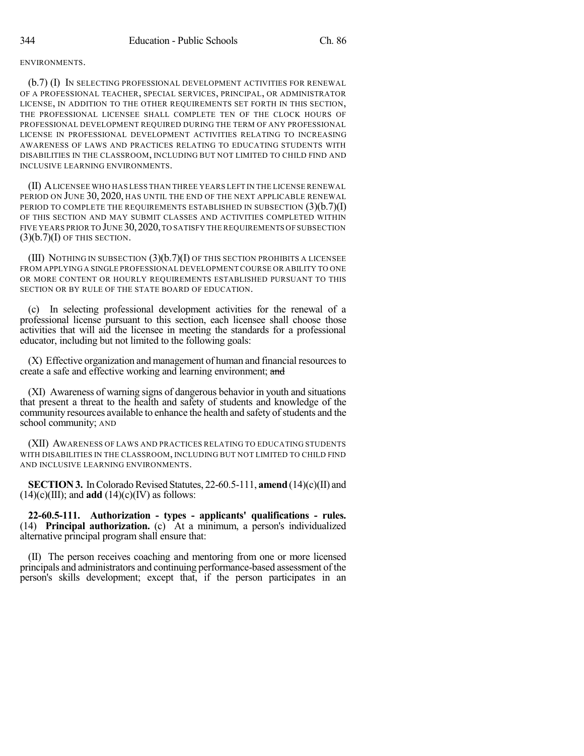## ENVIRONMENTS.

(b.7) (I) IN SELECTING PROFESSIONAL DEVELOPMENT ACTIVITIES FOR RENEWAL OF A PROFESSIONAL TEACHER, SPECIAL SERVICES, PRINCIPAL, OR ADMINISTRATOR LICENSE, IN ADDITION TO THE OTHER REQUIREMENTS SET FORTH IN THIS SECTION, THE PROFESSIONAL LICENSEE SHALL COMPLETE TEN OF THE CLOCK HOURS OF PROFESSIONAL DEVELOPMENT REQUIRED DURING THE TERM OF ANY PROFESSIONAL LICENSE IN PROFESSIONAL DEVELOPMENT ACTIVITIES RELATING TO INCREASING AWARENESS OF LAWS AND PRACTICES RELATING TO EDUCATING STUDENTS WITH DISABILITIES IN THE CLASSROOM, INCLUDING BUT NOT LIMITED TO CHILD FIND AND INCLUSIVE LEARNING ENVIRONMENTS.

(II) ALICENSEE WHO HAS LESS THAN THREE YEARS LEFT IN THE LICENSE RENEWAL PERIOD ON JUNE 30, 2020, HAS UNTIL THE END OF THE NEXT APPLICABLE RENEWAL PERIOD TO COMPLETE THE REQUIREMENTS ESTABLISHED IN SUBSECTION  $(3)(b.7)(I)$ OF THIS SECTION AND MAY SUBMIT CLASSES AND ACTIVITIES COMPLETED WITHIN FIVE YEARS PRIOR TO JUNE 30,2020,TO SATISFY THE REQUIREMENTS OFSUBSECTION  $(3)(b.7)(I)$  OF THIS SECTION.

(III) NOTHING IN SUBSECTION  $(3)(b.7)(I)$  OF THIS SECTION PROHIBITS A LICENSEE FROM APPLYING A SINGLE PROFESSIONAL DEVELOPMENT COURSE OR ABILITY TO ONE OR MORE CONTENT OR HOURLY REQUIREMENTS ESTABLISHED PURSUANT TO THIS SECTION OR BY RULE OF THE STATE BOARD OF EDUCATION.

(c) In selecting professional development activities for the renewal of a professional license pursuant to this section, each licensee shall choose those activities that will aid the licensee in meeting the standards for a professional educator, including but not limited to the following goals:

(X) Effective organization and management of human and financial resourcesto create a safe and effective working and learning environment; and

(XI) Awareness of warning signs of dangerous behavior in youth and situations that present a threat to the health and safety of students and knowledge of the community resources available to enhance the health and safety of students and the school community; AND

(XII) AWARENESS OF LAWS AND PRACTICES RELATING TO EDUCATING STUDENTS WITH DISABILITIES IN THE CLASSROOM, INCLUDING BUT NOT LIMITED TO CHILD FIND AND INCLUSIVE LEARNING ENVIRONMENTS.

**SECTION 3.** In Colorado Revised Statutes, 22-60.5-111, **amend** (14)(c)(II) and  $(14)(c)(III)$ ; and **add**  $(14)(c)(IV)$  as follows:

**22-60.5-111. Authorization - types - applicants' qualifications - rules.** (14) **Principal authorization.** (c) At a minimum, a person's individualized alternative principal program shall ensure that:

(II) The person receives coaching and mentoring from one or more licensed principals and administrators and continuing performance-based assessment of the person's skills development; except that, if the person participates in an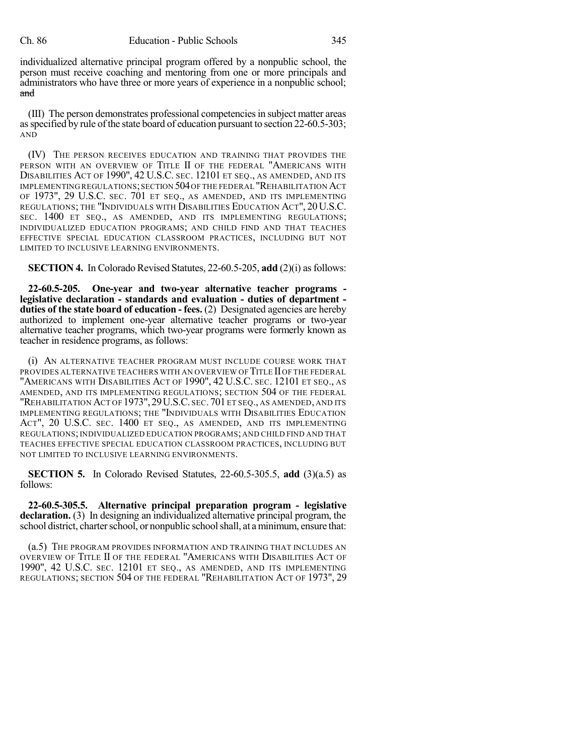individualized alternative principal program offered by a nonpublic school, the person must receive coaching and mentoring from one or more principals and administrators who have three or more years of experience in a nonpublic school; and

(III) The person demonstrates professional competenciesin subject matter areas as specified by rule of the state board of education pursuant to section 22-60.5-303; AND

(IV) THE PERSON RECEIVES EDUCATION AND TRAINING THAT PROVIDES THE PERSON WITH AN OVERVIEW OF TITLE II OF THE FEDERAL "AMERICANS WITH DISABILITIES ACT OF 1990", 42 U.S.C. SEC. 12101 ET SEQ., AS AMENDED, AND ITS IMPLEMENTING REGULATIONS;SECTION 504OF THE FEDERAL "REHABILITATION ACT OF 1973", 29 U.S.C. SEC. 701 ET SEQ., AS AMENDED, AND ITS IMPLEMENTING REGULATIONS; THE "INDIVIDUALS WITH DISABILITIES EDUCATION ACT", 20U.S.C. SEC. 1400 ET SEQ., AS AMENDED, AND ITS IMPLEMENTING REGULATIONS; INDIVIDUALIZED EDUCATION PROGRAMS; AND CHILD FIND AND THAT TEACHES EFFECTIVE SPECIAL EDUCATION CLASSROOM PRACTICES, INCLUDING BUT NOT LIMITED TO INCLUSIVE LEARNING ENVIRONMENTS.

**SECTION 4.** In Colorado Revised Statutes, 22-60.5-205, add (2)(i) as follows:

**22-60.5-205. One-year and two-year alternative teacher programs legislative declaration - standards and evaluation - duties of department duties of the state board of education - fees.** (2) Designated agencies are hereby authorized to implement one-year alternative teacher programs or two-year alternative teacher programs, which two-year programs were formerly known as teacher in residence programs, as follows:

(i) AN ALTERNATIVE TEACHER PROGRAM MUST INCLUDE COURSE WORK THAT PROVIDES ALTERNATIVE TEACHERS WITH AN OVERVIEW OF TITLE II OF THE FEDERAL "AMERICANS WITH DISABILITIES ACT OF 1990", 42 U.S.C. SEC. 12101 ET SEQ., AS AMENDED, AND ITS IMPLEMENTING REGULATIONS; SECTION 504 OF THE FEDERAL "REHABILITATION ACT OF 1973",29U.S.C. SEC. 701 ET SEQ., AS AMENDED, AND ITS IMPLEMENTING REGULATIONS; THE "INDIVIDUALS WITH DISABILITIES EDUCATION ACT", 20 U.S.C. SEC. 1400 ET SEQ., AS AMENDED, AND ITS IMPLEMENTING REGULATIONS;INDIVIDUALIZED EDUCATION PROGRAMS;AND CHILD FIND AND THAT TEACHES EFFECTIVE SPECIAL EDUCATION CLASSROOM PRACTICES, INCLUDING BUT NOT LIMITED TO INCLUSIVE LEARNING ENVIRONMENTS.

**SECTION 5.** In Colorado Revised Statutes, 22-60.5-305.5, **add** (3)(a.5) as follows:

**22-60.5-305.5. Alternative principal preparation program - legislative declaration.** (3) In designing an individualized alternative principal program, the school district, charter school, or nonpublic school shall, at a minimum, ensure that:

(a.5) THE PROGRAM PROVIDES INFORMATION AND TRAINING THAT INCLUDES AN OVERVIEW OF TITLE II OF THE FEDERAL "AMERICANS WITH DISABILITIES ACT OF 1990", 42 U.S.C. SEC. 12101 ET SEQ., AS AMENDED, AND ITS IMPLEMENTING REGULATIONS; SECTION 504 OF THE FEDERAL "REHABILITATION ACT OF 1973", 29